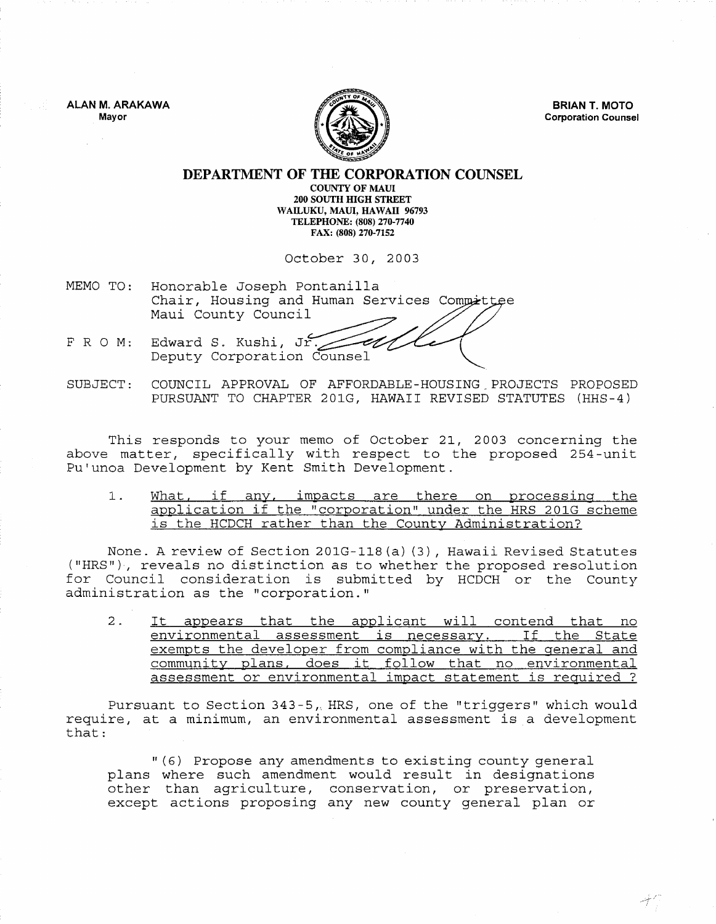**ALAN M. ARAKAWA**  Mayor



**BRIAN T. MOTO**  Corporation Counsel

## **DEPARTMENT OF THE CORPORATION COUNSEL**  COUNTY OF MAUl 200 SOUTH HIGH STREET WAILUKU, MAUl, HAWAII 96793 TELEPHONE: (808) 270-7740

FAX: (808) 270-7152

October 30, 2003

- MEMO TO: Honorable Joseph Pontanilla Chair, Housing and Human Services Committee Maui County Council
- FRO M: Edward S. Kushi, Jr. Deputy Corporation Counsel
- SUBJECT: COUNCIL APPROVAL OF AFFORDABLE-HOUSING,PROJECTS PROPOSED PURSUANT TO CHAPTER 201G, HAWAII REVISED STATUTES (HHS-4)

This responds to your memo of October 21, 2003 concerning the above matter, specifically with respect to the proposed 254-unit Pu'unoa Development by Kent Smith Development.

1. What, if any, impacts are there on processing the application if the "corporation" under the HRS 201G scheme is the HCDCH rather than the County Administration?

None. A review of Section 201G-118 (a) (3) , Hawaii Revised Statutes ("HRS"), reveals no distinction as to whether the proposed resolution for Council consideration is submitted by HCDCH or the County administration as the "corporation."

2. It appears that the applicant will contend that no environmental assessment is necessary. If the State exempts the developer from compliance with the general and community plans, does it follow that no environmental assessment or environmental impact statement is required?

Pursuant to Section 343-5, HRS, one of the "triggers" which would require, at a minimum, an environmental assessment is a development that:

" (6) Propose any amendments to existing county general plans where such amendment would result in designations other than agriculture, conservation, or preservation, except actions proposing any new county general plan or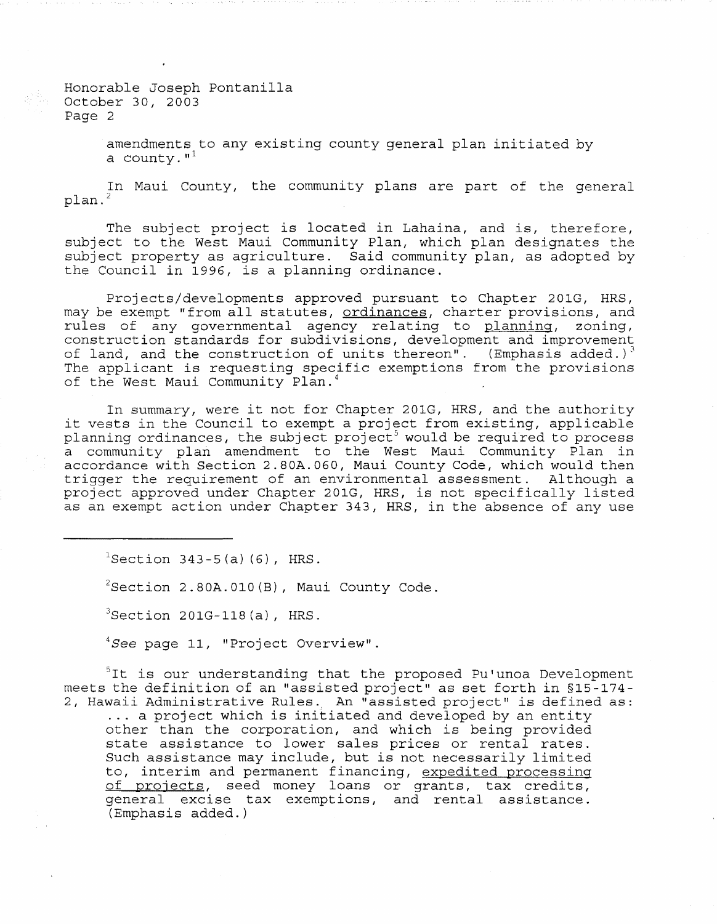Honorable Joseph Pontanilla October 30, 2003 Page 2

> amendments to any existing county general plan initiated by a county. $1<sup>1</sup>$

In Maui County, the community plans are part of the general plan.<sup>2</sup>

The subject project is located in Lahaina, and is, therefore, subject to the West Maui Community Plan, which plan designates the subject property as agriculture. Said community plan, as adopted by the Council in 1996, is a planning ordinance.

Projects/developments approved pursuant to Chapter 201G, HRS, may be exempt "from all statutes, ordinances, charter provisions, and may be enomposition and beasabody, <u>siammandose</u>, charger provisions, and<br>rules of any governmental agency relating to <u>planning</u>, zoning, construction standards for subdivisions, development and improvement of land, and the construction of units thereon". (Emphasis added.)<sup>3</sup> The applicant is requesting specific exemptions from the provisions of the West Maui Community Plan. <sup>4</sup>

In summary, were it not for Chapter 201G, HRS, and the authority it vests in the Council to exempt a project from existing, applicable planning ordinances, the subject project<sup>5</sup> would be required to process a community plan amendment to the West Maui Community Plan in accordance with Section 2.80A.060, Maui County Code, which would then trigger the requirement of an environmental assessment. Although a project approved under Chapter 201G, HRS, is not specifically listed as an exempt action under Chapter 343, HRS, in the absence of any use

 ${}^{1}$ Section 343-5(a)(6), HRS.

 $2$ Section 2.80A.010(B), Maui County Code.

 $3$ Section 201G-118(a), HRS.

 ${}^{4}$ See page 11, "Project Overview".

<sup>5</sup>It is our understanding that the proposed Pu'unoa Development meets the definition of an "assisted project" as set forth in §15-174- 2, Hawaii Administrative Rules., An "assisted project" is defined as:

... a project which is initiated and developed by an entity other than the corporation, and which is being provided state assistance to lower sales prices or rental rates. Such assistance may include, but is not necessarily limited to, interim and permanent financing, expedited processing of projects, seed money loans or grants, tax credits, general excise tax exemptions, and rental assistance. (Emphasis added.)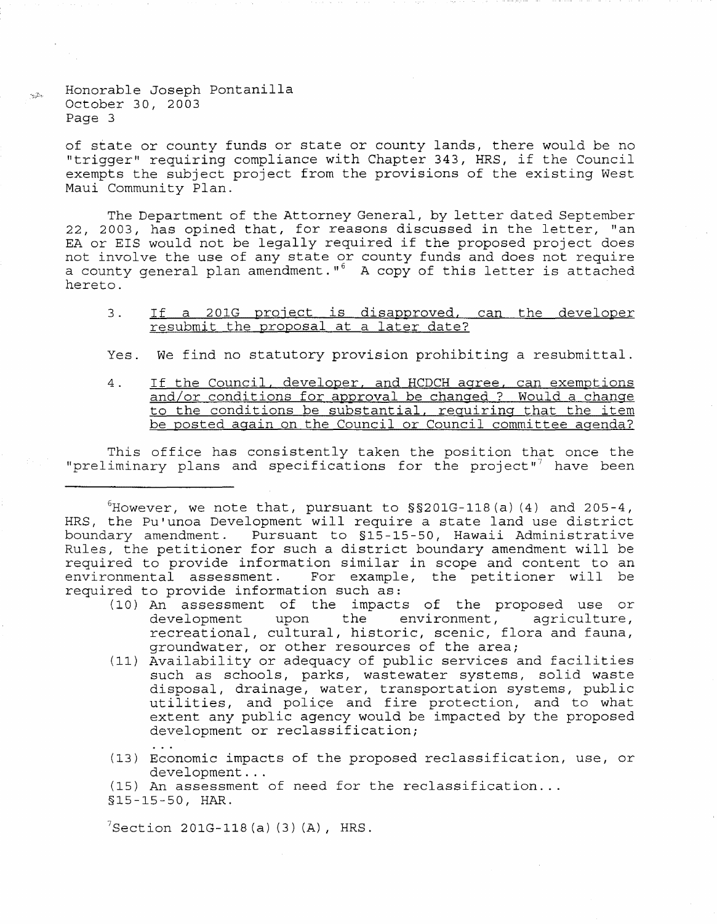Honorable Joseph Pontanilla October 30, 2003 Page 3

of state or county funds or state or county lands, there would be no "trigger" requiring compliance with Chapter 343, HRS, if the Council exempts the subject project from the provisions of the existing West Maui Community Plan.

The Department of the Attorney General, by letter dated September 22, 2003, has opined that, for reasons discussed in the letter, "an EA or EIS would not be legally required if the proposed project does not involve the use of any state or county funds and does not a county general plan amendment."<sup>6</sup> A copy of this letter is attached hereto.

## 3. If a 201G project is disapproved, can the developer resubmit the proposal at a later date?

Yes. We find no statutory provision prohibiting a resubmittal.

4. If the Council, developer, and HCDCH agree, can exemptions and/or conditions for approval be changed? Would a change to the conditions be substantial, requiring that the item be posted again on the Council or Council committee agenda?

This office has consistently taken the position that once the "preliminary plans and specifications for the project"<sup>7</sup> have been

 $6$ However, we note that, pursuant to  $\S$  $\S$ 201G-118(a)(4) and 205-4, HRS, the Pu'unoa Development will require a state land use district boundary amendment. Pursuant to §15-15-50, Hawaii Administrative Rules, the petitioner for such a district boundary amendment will be required to provide information similar in scope and content to an<br>environmental assessment. For example, the petitioner will be For example, the petitioner will be required to provide information such as:

- (10) An assessment of the impacts of the proposed use or environment, agriculture, recreational, cultural, historic, scenic, flora and fauna, groundwater, or other resources of the area;
- (11) Availability or adequacy of public services and facilities such as schools, parks, wastewater systems, solid waste disposal, drainage, water, transportation systems, public utilities, and police and fire protection, and to what extent any public agency would be impacted by the proposed development or reclassification;
- (13) Economic impacts of the proposed reclassification, use, or

(15) An assessment of need for the reclassification...  $$15-15-50$ , HAR.

 $7$  Section 201 G - 118 (a) (3) (A), HRS.

 $\sim 2\epsilon_0$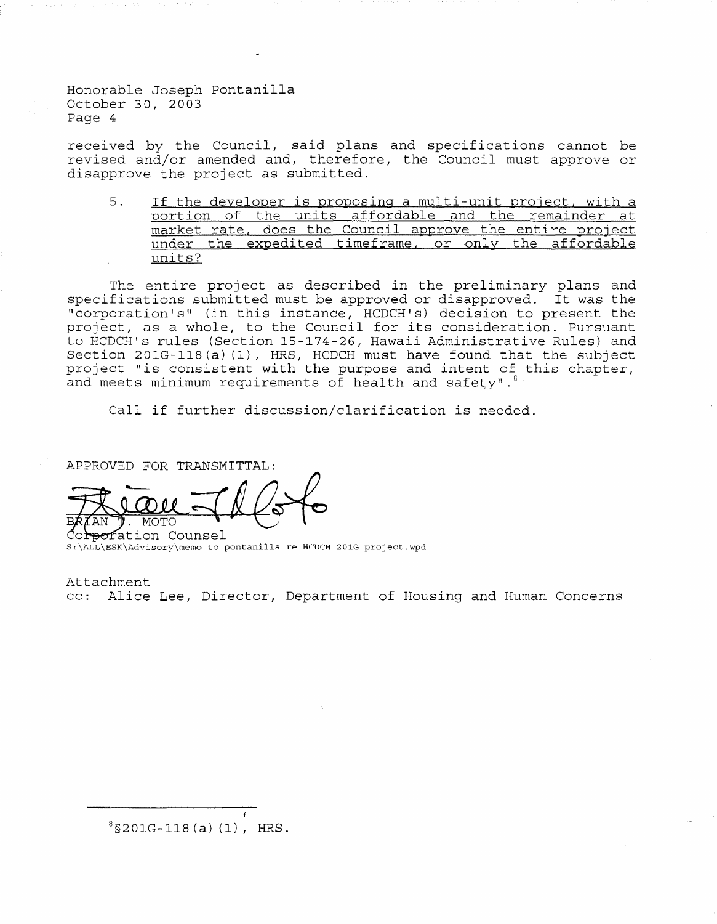Honorable Joseph Pontanilla October 30, 2003 Page 4

received by the Council, said plans and specifications cannot be revised and/or amended and, therefore, the Council must approve or disapprove the project as submitted.

5. If the developer is proposing a multi-unit project. with a portion of the units affordable and the remainder at market-rate, does the Council approve the entire project under the expedited timeframe, or only the affordable units?

The entire project as described in the preliminary plans and specifications submitted must be approved or disapproved. It was the "corporation's" (in this instance, HCDCH's) decision to present the project, as a whole, to the Council for its consideration. Pursuant to HCDCH's rules (Section 15-174-26, Hawaii Administrative Rules) and Section 201G-118(a) (I), HRS, HCDCH must have found that the subject project "is consistent with the purpose and intent of this chapter, and meets minimum requirements of health and safety".  $6 +$ 

Call if further discussion/clarification is needed.

APPROVED FOR TRANSMITTAL:

 $\sigma$ fation Counsel S:\ALL\ESK\Advisory\memo to pontanilla re HCDCH 201G project.wpd

Attachment

cc: Alice Lee, Director, Department of Housing and Human Concerns

 $8$ \$201G-118(a)(1), HRS.

f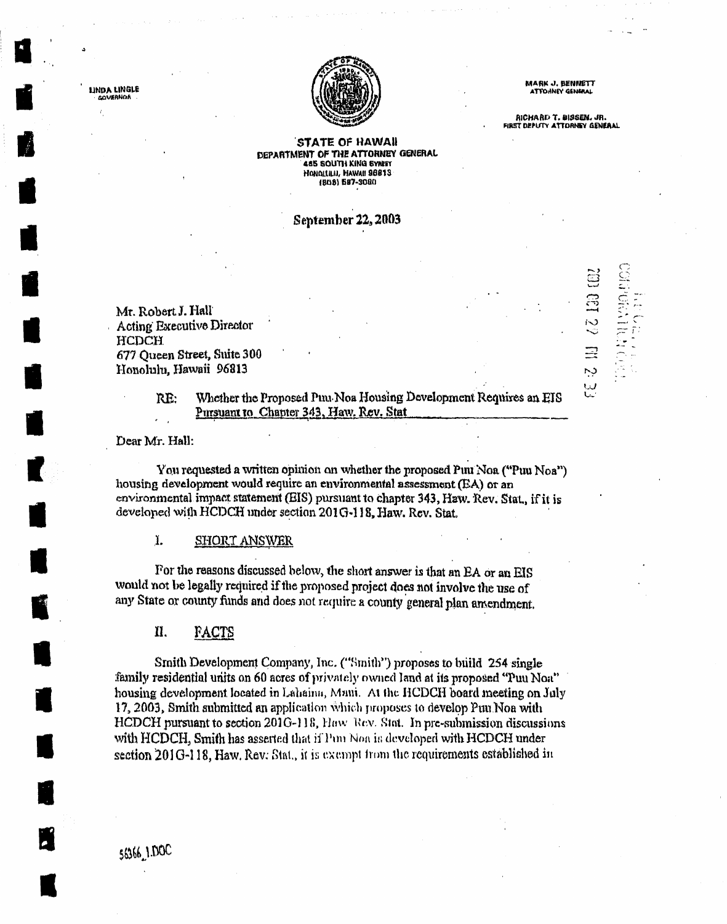

**MARK J. BENNETT** ATYO ANEY GENERAL

RICHARD T. BISSEN. JR. FIRST DEPUTY ATTORNEY GENERAL

111 62 130

ر.<br>د

W

### STATE OF HAWAII DEPARTMENT OF THE ATTORNEY GENERAL 485 SOUTH KING SYNET HONOLLILII, HAWAII 98813 (808) 687-3080

# September 22, 2003

Mr. Robert J. Hall **Acting Executive Director HCDCH** 677 Queen Street, Suite 300 Honolulu, Hawaii 96813

> Whether the Proposed Puu Noa Housing Development Requires an EIS RE: Pursuant to Chapter 343, Haw. Rev. Stat.

Dear Mr. Hall:

LINDA LINGLE

**GOVERNOR** 

You requested a written opinion on whether the proposed Puu Noa ("Puu Noa") housing development would require an environmental assessment (EA) or an environmental impact statement (EIS) pursuant to chapter 343, Hzw. Rev. Stat., if it is developed with HCDCH under section 201G-118, Haw. Rev. Stat.

1. **SHORT ANSWER** 

For the reasons discussed below, the short answer is that an EA or an EIS would not be legally required if the proposed project does not involve the use of any State or county funds and does not require a county general plan amendment.

П. **FACTS** 

Smith Development Company, Inc. ("Smith") proposes to build 254 single family residential units on 60 acres of privately owned land at its proposed "Puu Noat" housing development located in Lahaina, Mani. At the HCDCH board meeting on July 17, 2003, Smith submitted an application which proposes to develop Puu Noa with HCDCH pursuant to section 2016-118, Haw Rev. Stat. In pre-submission discussions with HCDCH, Smith has asserted that if Pun Non is developed with HCDCH under section 201G-118, Haw, Rev. Stat., it is exampt from the requirements established in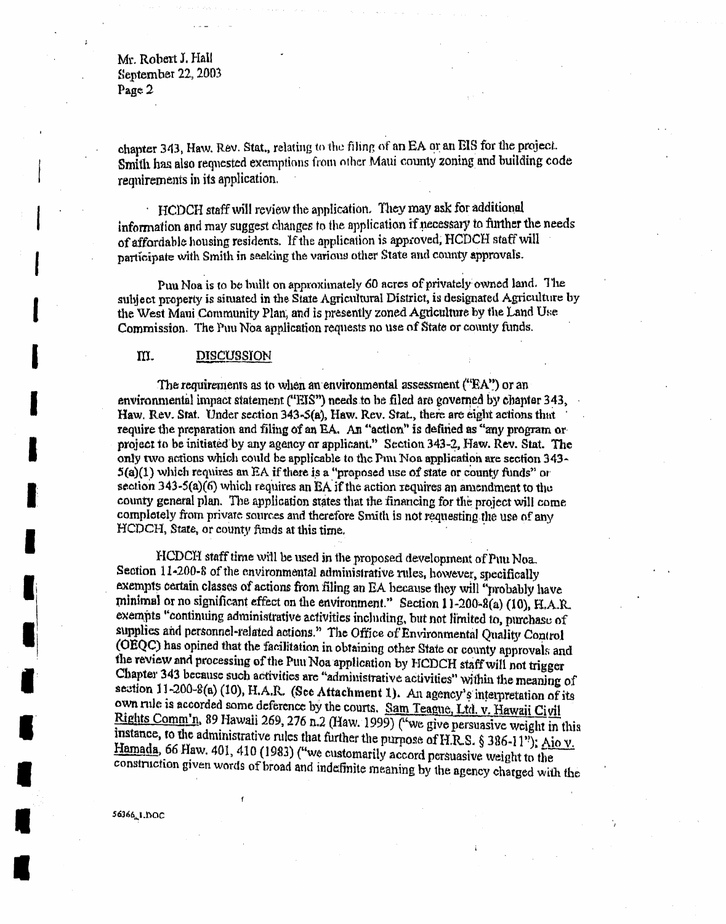Mr. Robert J. Hall September 22, 2003 Page 2

chapter 343, Haw. Rev. Stat., relating to the filing of an EA or an EIS for the project. Smith has also requested exemptions from other Maui county zoning and building code requirements in its application.

HCDCH staff will review the application. They may ask for additional information and may suggest changes to the application if necessary to further the needs of affordable housing residents. If the application is approved, HCDCH staff will participate with Smith in seeking the various other State and county approvals.

Puu Noa is to be built on approximately 60 acres of privately owned land. The subject property is situated in the State Agricultural District, is designated Agriculture by the West Mani Community Plan, and is presently zoned Agriculture by the Land Use Commission. The Puu Noa application requests no use of State or county funds.

#### III. **DISCUSSION**

The requirements as to when an environmental assessment ("EA") or an environmental impact statement ("HIS") needs to be filed are governed by chapter 343, Haw, Rev. Stat. Under section 343-5(a), Haw, Rev. Stat., there are eight actions that require the preparation and filing of an EA. An "action" is defined as "any program or project to be initiated by any agency or applicant." Section 343-2, Haw. Rev. Stat. The only two actions which could be applicable to the Puu Noa application are section 343- $5(a)(1)$  which requires an EA if there is a "proposed use of state or county funds" or section  $343-5(a)(6)$  which requires an EA if the action requires an amendment to the county general plan. The application states that the financing for the project will come completely from private sources and therefore Smith is not requesting the use of any HCDCH, State, or county funds at this time.

HCDCH staff time will be used in the proposed development of Puu Noa. Section 11-200-8 of the environmental administrative rules, however, specifically exempts certain classes of actions from filing an EA because they will "probably have minimal or no significant effect on the environment." Section 11-200-8(a) (10), FLA.R. exempts "continuing administrative activities including, but not limited to, purchase of supplies and personnel-related actions." The Office of Environmental Quality Control (OEQC) has opined that the facilitation in obtaining other State or county approvals and the review and processing of the Puu Noa application by HCDCH staff will not trigger Chapter 343 because such activities are "administrative activities" within the meaning of section 11-200-8(a) (10), H.A.R. (See Attachment 1). An agency's interpretation of its own rule is accorded some deference by the courts. Sam Teague, Ltd. v. Hawaii Civil Rights Comm'n, 89 Hawaii 269, 276 n.2 (Haw. 1999) ("we give persuasive weight in this instance, to the administrative rules that further the purpose of H.R.S. § 386-11"); Aio v. Hamada, 66 Haw. 401, 410 (1983) ("we customarily accord persuasive weight to the construction given words of broad and indefinite meaning by the agency charged with the

56366, 1, DOC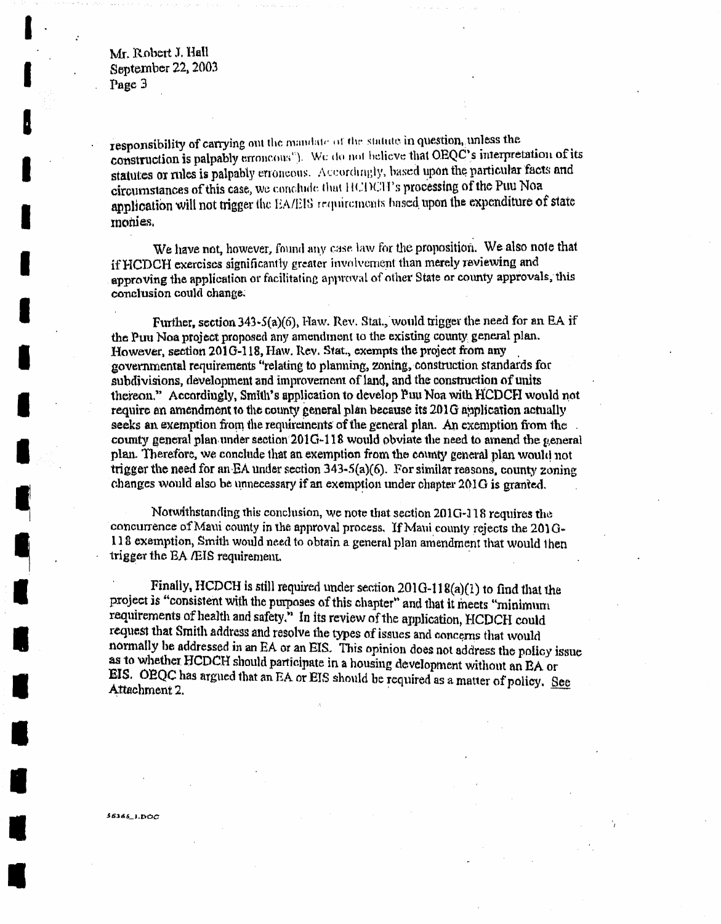Mr. Robert J. Hall September 22, 2003 Page 3

responsibility of carrying out the mandate of the statute in question, unless the construction is palpably erroneous"). We do not believe that OEQC's interpretation of its statutes or rules is palpably erroneous. Accordingly, based upon the particular facts and circumstances of this case, we conclude that HCDCH's processing of the Puu Noa application will not trigger the EA/EIS requirements based upon the expenditure of state monies.

We have not, however, found any case law for the proposition. We also note that if HCDCH exercises significantly greater involvement than merely reviewing and approving the application or facilitating approval of other State or county approvals, this conclusion could change.

Further, section 343-5(a)(6), Haw. Rev. Stat., would trigger the need for an EA if the Puu Noa project proposed any amendment to the existing county general plan. However, section 2016-118, Haw. Rev. Stat., exempts the project from any governmental requirements "relating to planning, zoning, construction standards for subdivisions, development and improvement of land, and the construction of units thereon." Accordingly, Smith's application to develop Puu Noa with HCDCH would not require an amendment to the county general plan because its 201G application actually seeks an exemption from the requirements of the general plan. An exemption from the county general plan under section 201G-118 would obviate the need to amend the general plan. Therefore, we conclude that an exemption from the county general plan would not trigger the need for an EA under section  $343-5(a)(6)$ . For similar reasons, county zoning changes would also be unnecessary if an exemption under chapter 201G is granted.

Notwithstanding this conclusion, we note that section 201G-118 requires the concurrence of Maui county in the approval process. If Maui county rejects the  $201G -$ 118 exemption, Smith would need to obtain a general plan amendment that would then trigger the EA ÆIS requirement.

Finally, HCDCH is still required under section  $201G-118(a)(1)$  to find that the project is "consistent with the purposes of this chapter" and that it meets "minimum requirements of health and safety." In its review of the application, HCDCH could request that Smith address and resolve the types of issues and concerns that would normally be addressed in an EA or an EIS. This opinion does not address the policy issue as to whether HCDCH should participate in a housing development without an BA or EIS. OEQC has argued that an EA or EIS should be required as a matter of policy. See Attachment 2.

 $563651.50C$